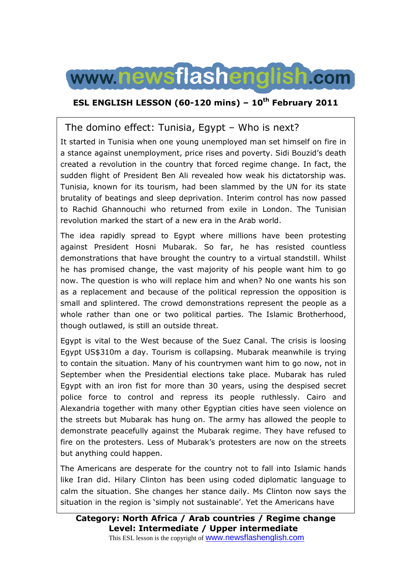

### **ESL ENGLISH LESSON (60-120 mins) – 10th February 2011**

### The domino effect: Tunisia, Egypt – Who is next?

It started in Tunisia when one young unemployed man set himself on fire in a stance against unemployment, price rises and poverty. Sidi Bouzid's death created a revolution in the country that forced regime change. In fact, the sudden flight of President Ben Ali revealed how weak his dictatorship was. Tunisia, known for its tourism, had been slammed by the UN for its state brutality of beatings and sleep deprivation. Interim control has now passed to Rachid Ghannouchi who returned from exile in London. The Tunisian revolution marked the start of a new era in the Arab world.

The idea rapidly spread to Egypt where millions have been protesting against President Hosni Mubarak. So far, he has resisted countless demonstrations that have brought the country to a virtual standstill. Whilst he has promised change, the vast majority of his people want him to go now. The question is who will replace him and when? No one wants his son as a replacement and because of the political repression the opposition is small and splintered. The crowd demonstrations represent the people as a whole rather than one or two political parties. The Islamic Brotherhood, though outlawed, is still an outside threat.

Egypt is vital to the West because of the Suez Canal. The crisis is loosing Egypt US\$310m a day. Tourism is collapsing. Mubarak meanwhile is trying to contain the situation. Many of his countrymen want him to go now, not in September when the Presidential elections take place. Mubarak has ruled Egypt with an iron fist for more than 30 years, using the despised secret police force to control and repress its people ruthlessly. Cairo and Alexandria together with many other Egyptian cities have seen violence on the streets but Mubarak has hung on. The army has allowed the people to demonstrate peacefully against the Mubarak regime. They have refused to fire on the protesters. Less of Mubarak's protesters are now on the streets but anything could happen.

The Americans are desperate for the country not to fall into Islamic hands like Iran did. Hilary Clinton has been using coded diplomatic language to calm the situation. She changes her stance daily. Ms Clinton now says the situation in the region is 'simply not sustainable'. Yet the Americans have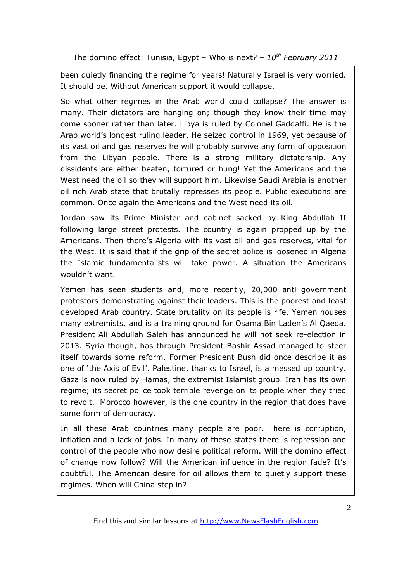been quietly financing the regime for years! Naturally Israel is very worried. It should be. Without American support it would collapse.

So what other regimes in the Arab world could collapse? The answer is many. Their dictators are hanging on; though they know their time may come sooner rather than later. Libya is ruled by Colonel Gaddaffi. He is the Arab world's longest ruling leader. He seized control in 1969, yet because of its vast oil and gas reserves he will probably survive any form of opposition from the Libyan people. There is a strong military dictatorship. Any dissidents are either beaten, tortured or hung! Yet the Americans and the West need the oil so they will support him. Likewise Saudi Arabia is another oil rich Arab state that brutally represses its people. Public executions are common. Once again the Americans and the West need its oil.

Jordan saw its Prime Minister and cabinet sacked by King Abdullah II following large street protests. The country is again propped up by the Americans. Then there's Algeria with its vast oil and gas reserves, vital for the West. It is said that if the grip of the secret police is loosened in Algeria the Islamic fundamentalists will take power. A situation the Americans wouldn't want.

Yemen has seen students and, more recently, 20,000 anti government protestors demonstrating against their leaders. This is the poorest and least developed Arab country. State brutality on its people is rife. Yemen houses many extremists, and is a training ground for Osama Bin Laden's Al Qaeda. President Ali Abdullah Saleh has announced he will not seek re-election in 2013. Syria though, has through President Bashir Assad managed to steer itself towards some reform. Former President Bush did once describe it as one of 'the Axis of Evil'. Palestine, thanks to Israel, is a messed up country. Gaza is now ruled by Hamas, the extremist Islamist group. Iran has its own regime; its secret police took terrible revenge on its people when they tried to revolt. Morocco however, is the one country in the region that does have some form of democracy.

In all these Arab countries many people are poor. There is corruption, inflation and a lack of jobs. In many of these states there is repression and control of the people who now desire political reform. Will the domino effect of change now follow? Will the American influence in the region fade? It's doubtful. The American desire for oil allows them to quietly support these regimes. When will China step in?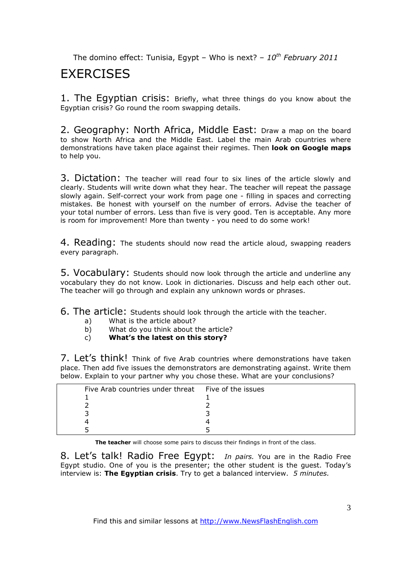### **FXFRCISES**

1. The Egyptian crisis: Briefly, what three things do you know about the Egyptian crisis? Go round the room swapping details.

2. Geography: North Africa, Middle East: Draw a map on the board to show North Africa and the Middle East. Label the main Arab countries where demonstrations have taken place against their regimes. Then **look on Google maps** to help you.

3. Dictation: The teacher will read four to six lines of the article slowly and clearly. Students will write down what they hear. The teacher will repeat the passage slowly again. Self-correct your work from page one - filling in spaces and correcting mistakes. Be honest with yourself on the number of errors. Advise the teacher of your total number of errors. Less than five is very good. Ten is acceptable. Any more is room for improvement! More than twenty - you need to do some work!

4. Reading: The students should now read the article aloud, swapping readers every paragraph.

5. Vocabulary: Students should now look through the article and underline any vocabulary they do not know. Look in dictionaries. Discuss and help each other out. The teacher will go through and explain any unknown words or phrases.

6. The article: Students should look through the article with the teacher.

- a) What is the article about?<br>b) What do you think about t
- What do you think about the article?
- c) **What's the latest on this story?**

7. Let's think! Think of five Arab countries where demonstrations have taken place. Then add five issues the demonstrators are demonstrating against. Write them below. Explain to your partner why you chose these. What are your conclusions?

| Five Arab countries under threat Five of the issues |  |
|-----------------------------------------------------|--|
|                                                     |  |
|                                                     |  |
|                                                     |  |
|                                                     |  |
|                                                     |  |

**The teacher** will choose some pairs to discuss their findings in front of the class.

8. Let's talk! Radio Free Egypt: *In pairs.* You are in the Radio Free Egypt studio. One of you is the presenter; the other student is the guest. Today's interview is: **The Egyptian crisis**. Try to get a balanced interview. *5 minutes.* 

Find this and similar lessons at http://www.NewsFlashEnglish.com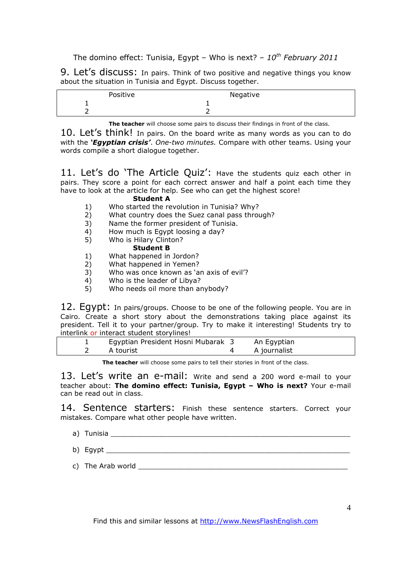9. Let's discuss: In pairs. Think of two positive and negative things you know about the situation in Tunisia and Egypt. Discuss together.

| Positive | Negative |
|----------|----------|
| -<br>—   |          |
| ∽        |          |

**The teacher** will choose some pairs to discuss their findings in front of the class.

10. Let's think! In pairs. On the board write as many words as you can to do with the *'Egyptian crisis'*. *One-two minutes.* Compare with other teams. Using your words compile a short dialogue together.

11. Let's do 'The Article Quiz': Have the students quiz each other in pairs. They score a point for each correct answer and half a point each time they have to look at the article for help. See who can get the highest score!

#### **Student A**

- 1) Who started the revolution in Tunisia? Why?
- 2) What country does the Suez canal pass through?
- 3) Name the former president of Tunisia.<br>4) How much is Equat loosing a day?
- 4) How much is Egypt loosing a day?<br>5) Who is Hilary Clinton?
- 5) Who is Hilary Clinton?

#### **Student B**

- 1) What happened in Jordon?
- 2) What happened in Yemen?
- 3) Who was once known as 'an axis of evil'?
- 4) Who is the leader of Libya?
- 5) Who needs oil more than anybody?

12. Egypt: In pairs/groups. Choose to be one of the following people. You are in Cairo. Create a short story about the demonstrations taking place against its president. Tell it to your partner/group. Try to make it interesting! Students try to interlink or interact student storylines!

|  | Egyptian President Hosni Mubarak 3 | An Egyptian  |
|--|------------------------------------|--------------|
|  | A tourist                          | A journalist |
|  |                                    |              |

**The teacher** will choose some pairs to tell their stories in front of the class.

13. Let's write an e-mail: Write and send a 200 word e-mail to your teacher about: **The domino effect: Tunisia, Egypt – Who is next?** Your e-mail can be read out in class.

14. Sentence starters: Finish these sentence starters. Correct your mistakes. Compare what other people have written.

- a) Tunisia <u>\_\_\_\_\_\_\_\_\_\_\_\_\_\_\_\_\_\_\_\_\_\_\_\_\_\_\_\_\_\_\_\_\_</u>
- b) Egypt
- c) The Arab world  $\overline{c}$

Find this and similar lessons at http://www.NewsFlashEnglish.com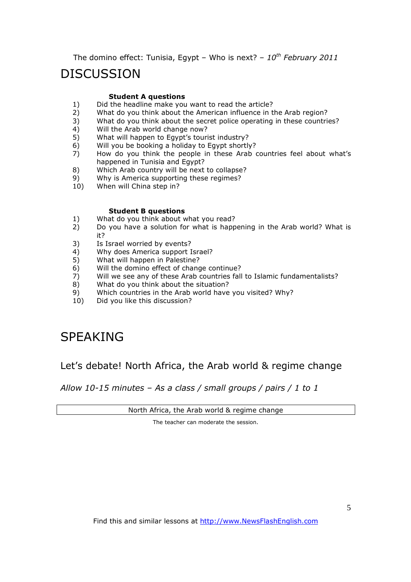## DISCUSSION

#### **Student A questions**

- 1) Did the headline make you want to read the article?<br>2) What do you think about the American influence in t
- 2) What do you think about the American influence in the Arab region?<br>3) What do you think about the secret police operating in these countri-
- What do you think about the secret police operating in these countries?
- 4) Will the Arab world change now?
- 5) What will happen to Egypt's tourist industry?
- 6) Will you be booking a holiday to Egypt shortly?
- 7) How do you think the people in these Arab countries feel about what's happened in Tunisia and Egypt?
- 8) Which Arab country will be next to collapse?
- 9) Why is America supporting these regimes?<br>10) When will China step in?
- When will China step in?

#### **Student B questions**

- 1) What do you think about what you read?
- 2) Do you have a solution for what is happening in the Arab world? What is it?
- 3) Is Israel worried by events?
- 4) Why does America support Israel?
- 5) What will happen in Palestine?<br>6) Will the domino effect of chang
- Will the domino effect of change continue?
- 7) Will we see any of these Arab countries fall to Islamic fundamentalists?
- 8) What do you think about the situation?
- 9) Which countries in the Arab world have you visited? Why?
- 10) Did you like this discussion?

# SPEAKING

### Let's debate! North Africa, the Arab world & regime change

*Allow 10-15 minutes – As a class / small groups / pairs / 1 to 1*

North Africa, the Arab world & regime change

The teacher can moderate the session.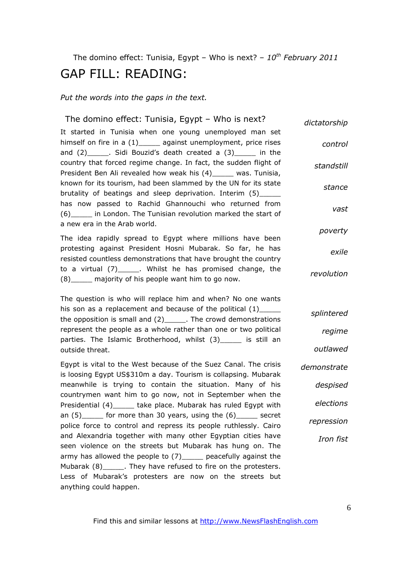# The domino effect: Tunisia, Egypt – Who is next? – *10th February 2011* GAP FILL: READING:

*Put the words into the gaps in the text.* 

| The domino effect: Tunisia, Egypt - Who is next?                                                                                                                                                   | dictatorship |
|----------------------------------------------------------------------------------------------------------------------------------------------------------------------------------------------------|--------------|
| It started in Tunisia when one young unemployed man set<br>himself on fire in a (1)______ against unemployment, price rises<br>and $(2)$ ______. Sidi Bouzid's death created a $(3)$ ______ in the | control      |
| country that forced regime change. In fact, the sudden flight of<br>President Ben Ali revealed how weak his (4)_____ was. Tunisia,                                                                 | standstill   |
| known for its tourism, had been slammed by the UN for its state<br>brutality of beatings and sleep deprivation. Interim (5)_____                                                                   | stance       |
| has now passed to Rachid Ghannouchi who returned from<br>(6) in London. The Tunisian revolution marked the start of<br>a new era in the Arab world.                                                | vast         |
| The idea rapidly spread to Egypt where millions have been                                                                                                                                          | poverty      |
| protesting against President Hosni Mubarak. So far, he has<br>resisted countless demonstrations that have brought the country                                                                      | exile        |
| to a virtual (7)_______. Whilst he has promised change, the<br>(8) majority of his people want him to go now.                                                                                      | revolution   |
| The question is who will replace him and when? No one wants                                                                                                                                        |              |
| his son as a replacement and because of the political $(1)$<br>the opposition is small and $(2)$ ______. The crowd demonstrations                                                                  | splintered   |
| represent the people as a whole rather than one or two political<br>parties. The Islamic Brotherhood, whilst (3) _____ is still an                                                                 | regime       |
| outside threat.                                                                                                                                                                                    | outlawed     |
| Egypt is vital to the West because of the Suez Canal. The crisis<br>is loosing Egypt US\$310m a day. Tourism is collapsing. Mubarak                                                                | demonstrate  |
| meanwhile is trying to contain the situation. Many of his<br>countrymen want him to go now, not in September when the                                                                              | despised     |
| Presidential (4)______ take place. Mubarak has ruled Egypt with                                                                                                                                    | elections    |
| an $(5)$ ______ for more than 30 years, using the $(6)$ ______ secret<br>police force to control and repress its people ruthlessly. Cairo                                                          | repression   |
| and Alexandria together with many other Egyptian cities have<br>seen violence on the streets but Mubarak has hung on. The                                                                          | Iron fist    |
| army has allowed the people to (7) ______ peacefully against the                                                                                                                                   |              |
| Mubarak (8)_______. They have refused to fire on the protesters.                                                                                                                                   |              |
| Less of Mubarak's protesters are now on the streets but<br>anything could happen.                                                                                                                  |              |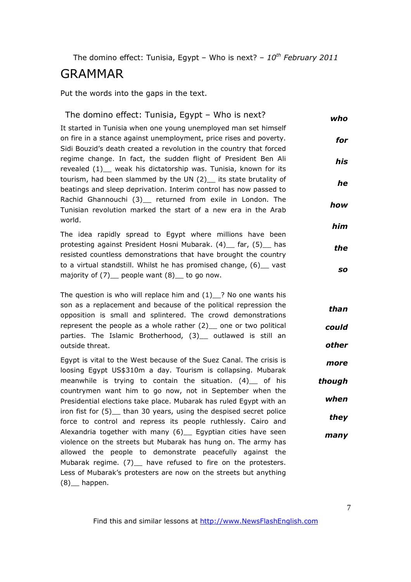## GRAMMAR

Put the words into the gaps in the text.

| The domino effect: Tunisia, Egypt - Who is next?                                                                                      | who       |
|---------------------------------------------------------------------------------------------------------------------------------------|-----------|
| It started in Tunisia when one young unemployed man set himself<br>on fire in a stance against unemployment, price rises and poverty. | for       |
| Sidi Bouzid's death created a revolution in the country that forced                                                                   |           |
| regime change. In fact, the sudden flight of President Ben Ali<br>revealed (1)_ weak his dictatorship was. Tunisia, known for its     | his       |
| tourism, had been slammed by the UN (2)_ its state brutality of<br>beatings and sleep deprivation. Interim control has now passed to  | he        |
| Rachid Ghannouchi (3) returned from exile in London. The<br>Tunisian revolution marked the start of a new era in the Arab             | how       |
| world.<br>The idea rapidly spread to Egypt where millions have been                                                                   | him       |
| protesting against President Hosni Mubarak. (4) __ far, (5) __ has<br>resisted countless demonstrations that have brought the country | the       |
| to a virtual standstill. Whilst he has promised change, (6) __ vast<br>majority of $(7)$ people want $(8)$ to go now.                 | <b>SO</b> |
| The question is who will replace him and $(1)$ ? No one wants his                                                                     |           |
| son as a replacement and because of the political repression the<br>opposition is small and splintered. The crowd demonstrations      | than      |
| represent the people as a whole rather $(2)$ one or two political<br>parties. The Islamic Brotherhood, (3) _ outlawed is still an     | could     |
| outside threat.                                                                                                                       | other     |
| Egypt is vital to the West because of the Suez Canal. The crisis is<br>loosing Egypt US\$310m a day. Tourism is collapsing. Mubarak   | more      |
| meanwhile is trying to contain the situation. (4) of his<br>countrymen want him to go now, not in September when the                  | though    |
| Presidential elections take place. Mubarak has ruled Egypt with an                                                                    | when      |
| iron fist for (5) than 30 years, using the despised secret police<br>force to control and repress its people ruthlessly. Cairo and    | they      |
| Alexandria together with many (6) _ Egyptian cities have seen<br>violence on the streets but Mubarak has hung on. The army has        | many      |
| allowed the people to demonstrate peacefully against the<br>Mubarak regime. (7) have refused to fire on the protesters.               |           |
| Less of Mubarak's protesters are now on the streets but anything                                                                      |           |
| $(8)$ happen.                                                                                                                         |           |